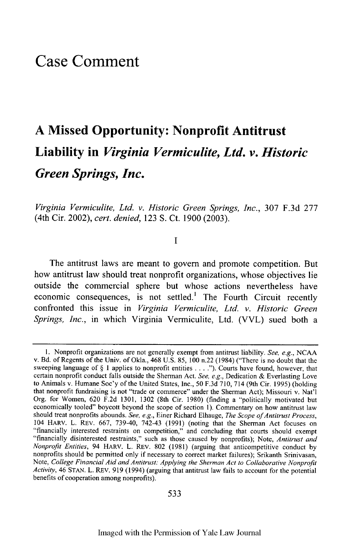# **Case Comment**

# **A Missed Opportunity: Nonprofit Antitrust Liability in** *Virginia Vermiculite, Ltd. v. Historic Green Springs, Inc.*

*Virginia Vermiculite, Ltd. v. Historic Green Springs, Inc.,* **307 F.3d 277** (4th Cir. 2002), *cert. denied,* **123 S.** Ct. **1900 (2003).**

**1**

The antitrust laws are meant to govern and promote competition. But how antitrust law should treat nonprofit organizations, whose objectives lie outside the commercial sphere but whose actions nevertheless have economic consequences, is not settled.' The Fourth Circuit recently confronted this issue in *Virginia Vermiculite, Ltd. v. Historic Green Springs, Inc.,* in which Virginia Vermiculite, Ltd. (VVL) sued both a

**<sup>1.</sup>** Nonprofit organizations are not generally exempt from antitrust liability. *See, e.g.,* **NCAA** v. **Bd.** of Regents of the Univ. of Okla., 468 **U.S. 85, 100** n.22 (1984) ("There is no doubt that the sweeping language of § **1** applies to nonprofit entities **.... ").** Courts have found, however, that certain nonprofit conduct falls outside the Sherman Act. *See, e.g.,* Dedication **&** Everlasting Love to Animals v. Humane Soc'y of the United States, Inc., **50 F.3d 710,** 714 (9th Cir. **1995)** (holding that nonprofit fundraising is not "trade or commerce" under the Sherman Act); Missouri v. Nat'l Org. for Women, **620 F.2d 1301, 1302** (8th Cir. **1980)** (finding a "politically motivated but economically tooled" boycott beyond the scope of section **1).** Commentary on how antitrust law should treat nonprofits abounds. See, e.g., Einer Richard Elhauge, The Scope of Antitrust Process, 104 HARV. L. REV. **667, 739-40,** 742-43 **(1991)** (noting that the Sherman Act focuses on "financially interested restraints on competition," and concluding that courts should exempt "financially disinterested restraints," such as those caused **by** nonprofits); Note, *Antitrust and Nonprofit Entities,* 94 HARV. L. REV. **802 (1981)** (arguing that anticompetitive conduct **by** nonprofits should be permitted only if necessary to correct market failures); Srikanth Srinivasan, Note, *College Financial Aid and Antitrust: Applying the Sherman Act to Collaborative Nonprofit Activity,* 46 **STAN.** L. REV. **919** (1994) (arguing that antitrust law fails to account for the potential benefits of cooperation among nonprofits).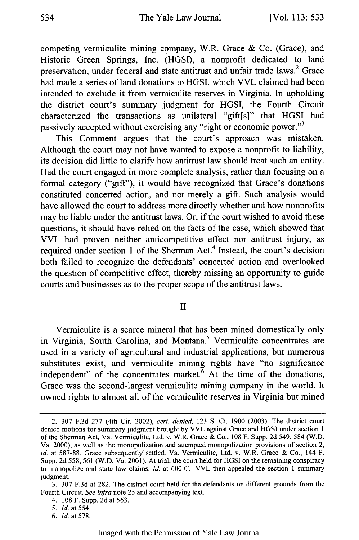## The Yale Law Journal

competing vermiculite mining company, W.R. Grace & Co. (Grace), and Historic Green Springs, Inc. (HGSI), a nonprofit dedicated to land preservation, under federal and state antitrust and unfair trade laws.<sup>2</sup> Grace had made a series of land donations to HGSI, which VVL claimed had been intended to exclude it from vermiculite reserves in Virginia. In upholding the district court's summary judgment for HGSI, the Fourth Circuit characterized the transactions as unilateral "gift[s]" that HGSI had passively accepted without exercising any "right or economic power."<sup>3</sup>

This Comment argues that the court's approach was mistaken. Although the court may not have wanted to expose a nonprofit to liability, its decision did little to clarify how antitrust law should treat such an entity. Had the court engaged in more complete analysis, rather than focusing on a formal category ("gift"), it would have recognized that Grace's donations constituted concerted action, and not merely a gift. Such analysis would have allowed the court to address more directly whether and how nonprofits may be liable under the antitrust laws. Or, if the court wished to avoid these questions, it should have relied on the facts of the case, which showed that VVL had proven neither anticompetitive effect nor antitrust injury, as required under section 1 of the Sherman Act.<sup>4</sup> Instead, the court's decision both failed to recognize the defendants' concerted action and overlooked the question of competitive effect, thereby missing an opportunity to guide courts and businesses as to the proper scope of the antitrust laws.

#### II

Vermiculite is a scarce mineral that has been mined domestically only in Virginia, South Carolina, and Montana.<sup>5</sup> Vermiculite concentrates are used in a variety of agricultural and industrial applications, but numerous substitutes exist, and vermiculite mining rights have "no significance independent" of the concentrates market. $6$  At the time of the donations, Grace was the second-largest vermiculite mining company in the world. It owned rights to almost all of the vermiculite reserves in Virginia but mined

*6. Id.* at 578.

<sup>2. 307</sup> F.3d 277 (4th Cir. 2002), *cert. denied,* 123 S. Ct. 1900 (2003). The district court denied motions for summary judgment brought by VVL against Grace and HGSI under section 1 of the Sherman Act, Va. Vermiculite, Ltd. v. W.R. Grace & Co., 108 F. Supp. 2d 549, 584 (W.D. Va. 2000), as well as the monopolization and attempted monopolization provisions of section 2, *id.* at 587-88. Grace subsequently settled. Va. Vermiculite, Ltd. v. W.R. Grace & Co., 144 F. Supp. 2d 558, 561 (W.D. Va. 2001). At trial, the court held for HGSI on the remaining conspiracy to monopolize and state law claims. *Id.* at 600-01. VVL then appealed the section 1 summary judgment.

<sup>3. 307</sup> F.3d at 282. The district court held for the defendants on different grounds from the Fourth Circuit. *See infra* note 25 and accompanying text.

<sup>4. 108</sup>F. Supp. 2dat563.

*<sup>5.</sup> Id.* at 554.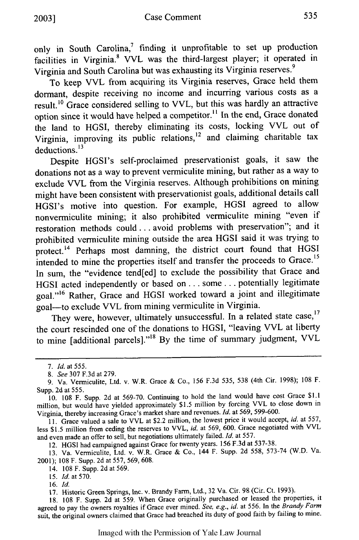only in South Carolina,<sup>7</sup> finding it unprofitable to set up production facilities in Virginia.<sup>8</sup> VVL was the third-largest player; it operated in Virginia and South Carolina but was exhausting its Virginia reserves. <sup>9</sup>

To keep VVL from acquiring its Virginia reserves, Grace held them dormant, despite receiving no income and incurring various costs as a result.10 Grace considered selling to VVL, but this was hardly an attractive option since it would have helped a competitor.<sup>11</sup> In the end, Grace donated the land to HGSI, thereby eliminating its costs, locking VVL out of Virginia, improving its public relations, $12$  and claiming charitable tax deductions. $^{13}$ 

Despite HGSI's self-proclaimed preservationist goals, it saw the donations not as a way to prevent vermiculite mining, but rather as a way to exclude VVL from the Virginia reserves. Although prohibitions on mining might have been consistent with preservationist goals, additional details call HGSI's motive into question. For example, HGSI agreed to allow nonvermiculite mining; it also prohibited vermiculite mining "even if restoration methods could.., avoid problems with preservation"; and it prohibited vermiculite mining outside the area HGSI said it was trying to protect.<sup>14</sup> Perhaps most damning, the district court found that HGSI intended to mine the properties itself and transfer the proceeds to Grace.<sup>15</sup> In sum, the "evidence tend[ed] to exclude the possibility that Grace and HGSI acted independently or based on ... some.., potentially legitimate goal."16 Rather, Grace and HGSI worked toward a joint and illegitimate goal-to exclude VVL from mining vermiculite in Virginia.

They were, however, ultimately unsuccessful. In a related state case,<sup>17</sup> the court rescinded one of the donations to HGSI, "leaving VVL at liberty to mine [additional parcels]."<sup>18</sup> By the time of summary judgment, VVL

12. HGSI had campaigned against Grace for twenty years. 156 F.3d at 537-38.

13. Va. Vermiculite, Ltd. v. W.R. Grace & Co., 144 F. Supp. 2d 558, 573-74 (W.D. Va. 2001); 108 F. Supp. 2d at 557, 569, 608.

16. *Id.*

17. Historic Green Springs, Inc. v. Brandy Farm, Ltd., 32 Va. Cir. 98 (Cir. Ct. 1993).

18. 108 F. Supp. 2d at 559. When Grace originally purchased or leased the properties, it agreed to pay the owners royalties if Grace ever mined. *See, e.g., id.* at 556. In the *Brandy Farm* suit, the original owners claimed that Grace had breached its duty of good faith by failing to mine.

*<sup>7.</sup> Id. at* 555.

*<sup>8.</sup> See* 307 F.3d at 279.

<sup>9.</sup> Va. Vermiculite, Ltd. v. W.R. Grace & Co., 156 F.3d 535, 538 (4th Cir. 1998); 108 F. Supp. 2d at 555.

<sup>10. 108</sup> F. Supp. 2d at 569-70. Continuing to hold the land would have cost Grace \$1.1 million, but would have yielded approximately \$1.5 million by forcing VVL to close down in Virginia, thereby increasing Grace's market share and revenues. *Id.* at 569, 599-600.

<sup>11.</sup> Grace valued a sale to VVL at \$2.2 million, the lowest price it would accept, *id.* at 557, less \$1.5 million from ceding the reserves to VVL, *id.* at 569, 600. Grace negotiated with VVL and even made an offer to sell, but negotiations ultimately failed. *Id.* at 557.

<sup>14. 108</sup> F. Supp. 2d at 569.

<sup>15.</sup> *Id.* at 570.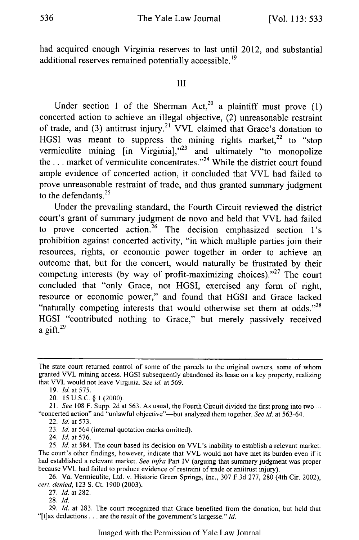had acquired enough Virginia reserves to last until 2012, and substantial additional reserves remained potentially accessible.<sup>19</sup>

**III**

Under section 1 of the Sherman Act,<sup>20</sup> a plaintiff must prove  $(1)$ concerted action to achieve an illegal objective, (2) unreasonable restraint of trade, and (3) antitrust injury.<sup>21</sup> VVL claimed that Grace's donation to HGSI was meant to suppress the mining rights market,<sup>22</sup> to "stop vermiculite mining [in Virginia],"<sup>23</sup> and ultimately "to monopolize the ... market of vermiculite concentrates."<sup>24</sup> While the district court found ample evidence of concerted action, it concluded that VVL had failed to prove unreasonable restraint of trade, and thus granted summary judgment to the defendants. $25$ 

Under the prevailing standard, the Fourth Circuit reviewed the district court's grant of summary judgment de novo and held that VVL had failed to prove concerted action.<sup>26</sup> The decision emphasized section 1's prohibition against concerted activity, "in which multiple parties join their resources, rights, or economic power together in order to achieve an outcome that, but for the concert, would naturally be frustrated **by** their competing interests (by way of profit-maximizing choices)."<sup>27</sup> The court concluded that "only Grace, not **HGSI,** exercised any form of right, resource or economic power," and found that **HGSI** and Grace lacked "naturally competing interests that would otherwise set them at **odds.''28 HGSI** "contributed nothing to Grace," but merely passively received a gift. $^{29}$ 

**23.** *Id.* at 564 (internal quotation marks omitted).

24. *Id.* at **576.**

**28.** *1d.*

**29.** *Id.* at **283.** The court recognized that Grace benefited from the donation, but held that "[t]ax deductions... are the result of the government's largesse." *Id.*

Imaged with the Permission of Yale Law Journal

The state court returned control of some of the parcels to the original owners, some of whom granted VVL mining access. **HGSI** subsequently abandoned its lease on a key property, realizing that VVL would not leave Virginia. *See id.* at **569.**

**<sup>19.</sup>** *Id.* at **575.**

<sup>20.</sup> **15 U.S.C. § 1** (2000).

**<sup>21.</sup>** *See* **108** F. Supp. **2d** at **563.** As usual, the Fourth Circuit divided the first prong into two- "concerted action" and "unlawful objective"-but analyzed them together. See id. at 563-64.

<sup>22.</sup> *Id.* at **573.**

**<sup>25.</sup>** *Id.* at 584. The court based its decision on VVL's inability to establish a relevant market. The court's other findings, however, indicate that VVL would not have met its burden even if it had established a relevant market. *See infra* Part IV (arguing that summary judgment was proper because VVL had failed to produce evidence of restraint of trade or antitrust injury).

**<sup>26.</sup>** Va. Vermiculite, Ltd. v. Historic Green Springs, Inc., **307 F.3d 277, 280** (4th Cir. 2002), *cert. denied,* **123 S.** Ct. **1900 (2003).**

**<sup>27.</sup>** *Id.* at **282.**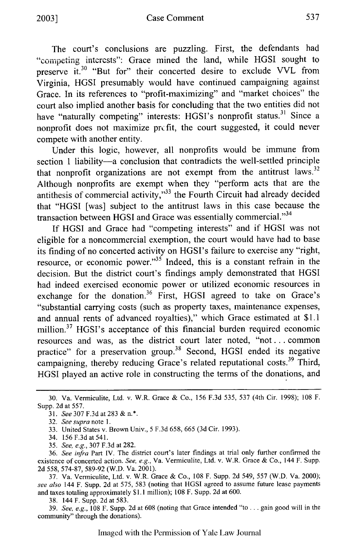The court's conclusions are puzzling. First, the defendants had "competing interests": Grace mined the land, while HGSI sought to preserve **it.30** "But for" their concerted desire to exclude VVL from Virginia, HGSI presumably would have continued campaigning against Grace. In its references to "profit-maximizing" and "market choices" the court also implied another basis for concluding that the two entities did not have "naturally competing" interests: HGSI's nonprofit status.<sup>31</sup> Since a nonprofit does not maximize prc fit, the court suggested, it could never compete with another entity.

Under this logic, however, all nonprofits would be immune from section 1 liability-a conclusion that contradicts the well-settled principle that nonprofit organizations are not exempt from the antitrust laws.<sup>32</sup> Although nonprofits are exempt when they "perform acts that are the antithesis of commercial activity," $33$  the Fourth Circuit had already decided that "HGSI [was] subject to the antitrust laws in this case because the transaction between HGSI and Grace was essentially commercial."<sup>34</sup>

If HGSI and Grace had "competing interests" and if HGSI was not eligible for a noncommercial exemption, the court would have had to base its finding of no concerted activity on HGSI's failure to exercise any "right, resource, or economic power."35 Indeed, this is a constant refrain in the decision. But the district court's findings amply demonstrated that HGSI had indeed exercised economic power or utilized economic resources in exchange for the donation.<sup>36</sup> First, HGSI agreed to take on Grace's "substantial carrying costs (such as property taxes, maintenance expenses, and annual rents of advanced royalties)," which Grace estimated at \$1.1 million.<sup>37</sup> HGSI's acceptance of this financial burden required economic resources and was, as the district court later noted, "not **...** common practice" for a preservation group.<sup>38</sup> Second, HGSI ended its negative campaigning, thereby reducing Grace's related reputational costs.<sup>39</sup> Third, HGSI played an active role in constructing the terms of the donations, and

37. Va. Vermiculite, Ltd. v. W.R. Grace & Co., 108 F. Supp. 2d 549, 557 (W.D. Va. 2000); *see also* 144 F. Supp. 2d at 575, 583 (noting that HGSI agreed to assume future lease payments and taxes totaling approximately **\$1.** 1 million); 108 F. Supp. 2d at 600.

38. 144 F. Supp. 2d at 583.

39. *See, e.g.,* 108 F. Supp. 2d at 608 (noting that Grace intended "to ... gain good will in the community" through the donations).

<sup>30.</sup> Va. Vermiculite, Ltd. v. W.R. Grace & Co., 156 F.3d 535, 537 (4th Cir. 1998); 108 F. Supp. 2d at 557.

<sup>31.</sup> *See* 307 F.3d at 283 & n.\*.

<sup>32.</sup> *See supra note* 1.

<sup>33.</sup> United States v. Brown Univ., 5 F.3d 658, 665 (3d Cir. 1993).

<sup>34.</sup> 156 F.3d at 541.

<sup>35.</sup> *See, e.g.,* 307 F.3d at 282.

<sup>36.</sup> *See infra* Part IV. The district court's later findings at trial only further confirmed the existence of concerted action. *See, e.g.,* Va. Vermiculite, Ltd. v. W.R. Grace & Co., 144 F. Supp. 2d 558, 574-87, 589-92 (W.D. Va. 2001).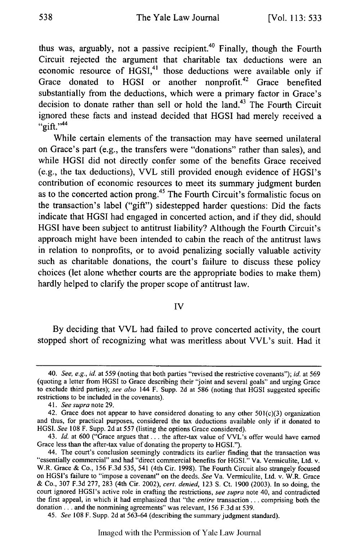thus was, arguably, not a passive recipient.<sup>40</sup> Finally, though the Fourth Circuit rejected the argument that charitable tax deductions were an economic resource of  $HGSI<sub>1</sub><sup>41</sup>$  those deductions were available only if Grace donated to HGSI or another nonprofit.<sup>42</sup> Grace benefited substantially from the deductions, which were a primary factor in Grace's decision to donate rather than sell or hold the land.<sup>43</sup> The Fourth Circuit ignored these facts and instead decided that **HGSI** had merely received a " $q$ ift."<sup>44</sup>

While certain elements of the transaction may have seemed unilateral on Grace's part (e.g., the transfers were "donations" rather than sales), and while **HGSI** did not directly confer some of the benefits Grace received (e.g., the tax deductions), VVL still provided enough evidence of HGSI's contribution of economic resources to meet its summary judgment burden as to the concerted action prong.<sup>45</sup> The Fourth Circuit's formalistic focus on the transaction's label ("gift") sidestepped harder questions: Did the facts indicate that **HGSI** had engaged in concerted action, and if they did, should **HGSI** have been subject to antitrust liability? Although the Fourth Circuit's approach might have been intended to cabin the reach of the antitrust laws in relation to nonprofits, or to avoid penalizing socially valuable activity such as charitable donations, the court's failure to discuss these policy choices (let alone whether courts are the appropriate bodies to make them) hardly helped to clarify the proper scope of antitrust law.

#### **IV**

**By** deciding that VVL had failed to prove concerted activity, the court stopped short of recognizing what was meritless about VVL's suit. Had it

*45. See* **108** F. Supp. **2d** at **563-64** (describing the summary judgment standard).

Imaged with the Permission of Yale Law Journal

<sup>40.</sup> *See, e.g., id.* at **559** (noting that both parties "revised the restrictive covenants"); *id.* at **569** (quoting a letter from **HGSI** to Grace describing their "joint and several goals" and urging Grace to exclude third parties); *see also* 144 F. Supp. **2d** at **586** (noting that **HGSI** suggested specific restrictions to be included in the covenants).

**<sup>41.</sup>** *See supra* note **29.**

<sup>42.</sup> Grace does not appear to have considered donating to any other  $501(c)(3)$  organization and thus, for practical purposes, considered the tax deductions available only if it donated to **HGSI.** *See* **108** F. Supp. **2d** at **557** (listing the options Grace considered).

<sup>43.</sup> *Id.* at **600** ("Grace argues **that..,** the after-tax value of VVL's offer would have earned Grace less than the after-tax value of donating the property to **HGSI.").**

<sup>44.</sup> The court's conclusion seemingly contradicts its earlier finding that the transaction was "essentially commercial" and had "direct commercial benefits for **HGSI."** Va. Vermiculite, Ltd. v. W.R. Grace **&** Co., **156 F.3d 535,** 541 (4th Cir. **1998).** The Fourth Circuit also strangely focused on HGSI's failure to "impose a covenant" on the deeds. *See* Va. Vermiculite, Ltd. v. W.R. Grace **&** Co., **307 F.3d 277, 283** (4th Cir. 2002), *cert. denied,* **123 S.** Ct. **1900 (2003).** In so doing, the court ignored HGSI's active role in crafting the restrictions, *see supra* note 40, and contradicted the first appeal, in which it had emphasized that "the *entire* transaction **...** comprising both the donation.., and the nonmining agreements" was relevant, **156 F.3d** at **539.**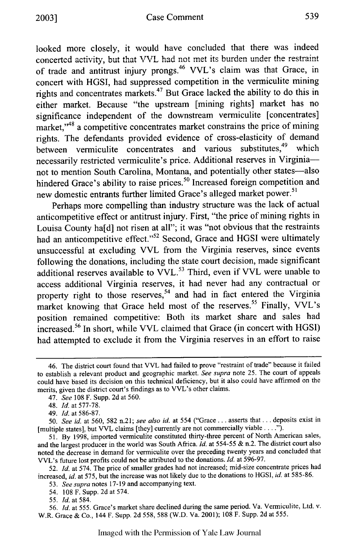looked more closely, it would have concluded that there was indeed concerted activity, but that VVL had not met its burden under the restraint of trade and antitrust injury prongs.<sup>46</sup> VVL's claim was that Grace, in concert with HGSI, had suppressed competition in the vermiculite mining rights and concentrates markets.<sup>47</sup> But Grace lacked the ability to do this in either market. Because "the upstream [mining rights] market has no significance independent of the downstream vermiculite [concentrates] market,"<sup>48</sup> a competitive concentrates market constrains the price of mining rights. The defendants provided evidence of cross-elasticity of demand between vermiculite concentrates and various substitutes.<sup>49</sup> which necessarily restricted vermiculite's price. Additional reserves in Virginianot to mention South Carolina, Montana, and potentially other states-also hindered Grace's ability to raise prices.<sup>50</sup> Increased foreign competition and new domestic entrants further limited Grace's alleged market power.<sup>51</sup>

Perhaps more compelling than industry structure was the lack of actual anticompetitive effect or antitrust injury. First, "the price of mining rights in Louisa County ha[d] not risen at all"; it was "not obvious that the restraints had an anticompetitive effect."<sup>52</sup> Second, Grace and HGSI were ultimately unsuccessful at excluding VVL from the Virginia reserves, since events following the donations, including the state court decision, made significant additional reserves available to VVL.<sup>53</sup> Third, even if VVL were unable to access additional Virginia reserves, it had never had any contractual or property right to those reserves,<sup>54</sup> and had in fact entered the Virginia market knowing that Grace held most of the reserves.<sup>55</sup> Finally, VVL's position remained competitive: Both its market share and sales had increased.56 In short, while VVL claimed that Grace (in concert with HGSI) had attempted to exclude it from the Virginia reserves in an effort to raise

*52. Id.* at 574. The price of smaller grades had not increased; mid-size concentrate prices had increased, *id.* at 575, but the increase was not likely due to the donations to HGSI, *id.* at 585-86.

53. *See supra* notes 17-19 and accompanying text.

54. 108 F. Supp. 2d at 574.

55. *Id.* at 584.

56. *Id.* at 555. Grace's market share declined during the same period. Va. Vermiculite, Ltd. v. W.R. Grace & Co., 144 F. Supp. 2d 558, 588 (W.D. Va. 2001); 108 F. Supp. 2d at 555.

<sup>46.</sup> The district court found that VVL had failed to prove "restraint of trade" because it failed to establish a relevant product and geographic market. *See supra* note 25. The court of appeals could have based its decision on this technical deficiency, but it also could have affirmed on the merits, given the district court's findings as to VVL's other claims.

<sup>47.</sup> *See* 108 F. Supp. 2d at 560.

<sup>48.</sup> *Id.* at 577-78.

<sup>49.</sup> *Id.* at 586-87.

*<sup>50.</sup> See id.* at 560, 582 n.21; *see also id.* at 554 ("Grace... asserts that... deposits exist in [multiple states], but VVL claims [they] currently are not commercially viable **... ").**

<sup>51.</sup> By 1998, imported vermiculite constituted thirty-three percent of North American sales, and the largest producer in the world was South Africa. *Id.* at 554-55 & n.2. The district court also noted the decrease in demand for vermiculite over the preceding twenty years and concluded that VVL's future lost profits could not be attributed to the donations. *Id.* at 596-97.